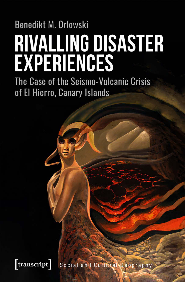# **Benedikt M. Orlowski RIVALLING DISASTER<br>EXPERIENCES**

The Case of the Seismo-Volcanic Crisis of El Hierro, Canary Islands

**transcript** Social and Cultural Geography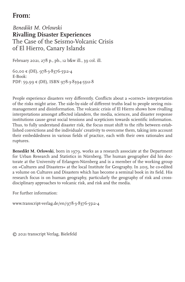## **From:**

*Benedikt M. Orlowski* **Rivalling Disaster Experiences** The Case of the Seismo-Volcanic Crisis of El Hierro, Canary Islands

February 2021, 278 p., pb., 12 b&w ill., 39 col. ill.

60,00 € (DE), 978-3-8376-5512-4 E-Book: PDF: 59,99 € (DE), ISBN 978-3-8394-5512-8

People experience disasters very differently. Conflicts about a »correct« interpretation of the risks might arise. The side-by-side of different truths lead to people seeing mismanagement and disinformation. The volcanic crisis of El Hierro shows how rivalling interpretations amongst affected islanders, the media, sciences, and disaster response institutions cause great social tensions and scepticism towards scientific information. Thus, to fully understand disaster risk, the focus must shift to the rifts between established convictions and the individuals' creativity to overcome them, taking into account their embeddedness in various fields of practice, each with their own rationales and ruptures.

**Benedikt M. Orlowski**, born in 1979, works as a research associate at the Department for Urban Research and Statistics in Nürnberg. The human geographer did his doctorate at the University of Erlangen-Nürnberg and is a member of the working group on »Cultures and Disasters« at the local Institute for Geography. In 2015, he co-edited a volume on Cultures and Disasters which has become a seminal book in its field. His research focus is on human geography, particularly the geography of risk and crossdisciplinary approaches to volcanic risk, and risk and the media.

For further information:

www.transcript-verlag.de/en/978-3-8376-5512-4

© 2021 transcript Verlag, Bielefeld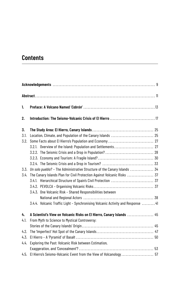# **Contents**

| 1.                                                    |                                                                                  |  |  |  |  |  |  |
|-------------------------------------------------------|----------------------------------------------------------------------------------|--|--|--|--|--|--|
| 2.                                                    |                                                                                  |  |  |  |  |  |  |
| 3.                                                    |                                                                                  |  |  |  |  |  |  |
| 3.1.                                                  |                                                                                  |  |  |  |  |  |  |
| 3.2.                                                  |                                                                                  |  |  |  |  |  |  |
|                                                       | 3.2.1. Overview of the Island: Population and Settlements 27                     |  |  |  |  |  |  |
|                                                       |                                                                                  |  |  |  |  |  |  |
|                                                       |                                                                                  |  |  |  |  |  |  |
|                                                       |                                                                                  |  |  |  |  |  |  |
| 3.3.                                                  | Un solo pueblo? - The Administrative Structure of the Canary Islands  34         |  |  |  |  |  |  |
| 3.4.                                                  | The Canary Islands Plan for Civil Protection Against Volcanic Risks  37          |  |  |  |  |  |  |
|                                                       |                                                                                  |  |  |  |  |  |  |
|                                                       |                                                                                  |  |  |  |  |  |  |
|                                                       | 3.4.3. One Volcanic Risk - Shared Responsibilities between                       |  |  |  |  |  |  |
|                                                       |                                                                                  |  |  |  |  |  |  |
|                                                       | 3.4.4. Volcanic Traffic Light - Synchronising Volcanic Activity and Response  41 |  |  |  |  |  |  |
| 4.                                                    | A Scientist's View on Volcanic Risks on El Hierro, Canary Islands  45            |  |  |  |  |  |  |
| From Myth to Science to Mystical Controversy:<br>4.1. |                                                                                  |  |  |  |  |  |  |
|                                                       |                                                                                  |  |  |  |  |  |  |
| 4.2.                                                  |                                                                                  |  |  |  |  |  |  |
| 4.3.                                                  |                                                                                  |  |  |  |  |  |  |
| 4.4.                                                  | Exploring the Past: Volcanic Risk between Estimation,                            |  |  |  |  |  |  |
|                                                       |                                                                                  |  |  |  |  |  |  |
| 4.5.                                                  | El Hierro's Seismo-Volcanic Event from the View of Volcanology  57               |  |  |  |  |  |  |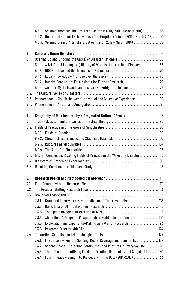|      |                                                                         | 4.5.1. Seismic Anomaly: The Pre-Eruptive Phase (July 2011 - October 2011)  58           |  |  |
|------|-------------------------------------------------------------------------|-----------------------------------------------------------------------------------------|--|--|
|      |                                                                         | 4.5.2. Uncertainty about Explosiveness: The Eruption (October 2011 - March 2012) 60     |  |  |
|      |                                                                         | 4.5.3. Seismic Unrest: After the Eruption (March 2012 - March 2014)  62                 |  |  |
| 5.   |                                                                         |                                                                                         |  |  |
| 5.1. | Opening Up and Bridging the Gap(s) of Disaster Rationales 66            |                                                                                         |  |  |
|      | 5.1.1.                                                                  | A Brief (and Incomplete) History of What Is Meant to Be a Disaster  66                  |  |  |
|      | 5.1.2.                                                                  |                                                                                         |  |  |
|      |                                                                         |                                                                                         |  |  |
|      |                                                                         | 5.1.4. Interim Conclusion: Four Axioms for Further Research  79                         |  |  |
|      |                                                                         | 5.1.5. Another 'Myth': Islands and Insularity - Entity or Delusion?  79                 |  |  |
| 5.2. |                                                                         |                                                                                         |  |  |
| 5.3. | Phenomenon I: Risk 'In-Between' Individual and Collective Experience 89 |                                                                                         |  |  |
| 5.4. |                                                                         |                                                                                         |  |  |
| 6.   |                                                                         | Geography of Risk Inspired by a Pragmatist Notion of Praxis  95                         |  |  |
| 6.1. |                                                                         |                                                                                         |  |  |
| 6.2. |                                                                         |                                                                                         |  |  |
|      |                                                                         |                                                                                         |  |  |
|      |                                                                         | 6.2.2. Stream of Experiences and Stabilised Rationales  100                             |  |  |
|      |                                                                         |                                                                                         |  |  |
|      |                                                                         |                                                                                         |  |  |
| 6.3. |                                                                         | Interim Conclusion: Rivalling Fields of Practice in the Wake of a Disaster  106         |  |  |
| 6.4. |                                                                         |                                                                                         |  |  |
| 6.5. |                                                                         |                                                                                         |  |  |
| 7.   |                                                                         |                                                                                         |  |  |
| 7.1. |                                                                         |                                                                                         |  |  |
| 7.2. |                                                                         |                                                                                         |  |  |
| 7.3. |                                                                         |                                                                                         |  |  |
|      | 7.3.1.                                                                  | Grounded Theory as a Key to Individuals' 'Theories of Risk' 113                         |  |  |
|      |                                                                         |                                                                                         |  |  |
|      |                                                                         |                                                                                         |  |  |
|      |                                                                         | 7.3.4. Abduction: A Pragmatist's Approach to Sudden Inspirations 120                    |  |  |
|      |                                                                         | 7.3.5. Exploration and Experience-Making as a Way of Research  123                      |  |  |
|      |                                                                         |                                                                                         |  |  |
| 7.4. |                                                                         |                                                                                         |  |  |
|      | 7.4.1.                                                                  | First Phase - 'Remote Sensing' Medial Coverage and Comments 127                         |  |  |
|      | 7.4.2.                                                                  | Second Phase - Detecting Continuities and Ruptures in Everyday Life  128                |  |  |
|      |                                                                         | 7.4.3. Third Phase - Identifying Fields of Practice, Rationales, and Singularities  130 |  |  |
|      |                                                                         | 7.4.4. Fourth Phase - Going into Dialogue with the Data (2014-2018)  133                |  |  |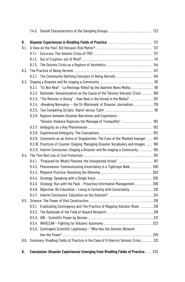| 8.                                                                              |        | Disaster Experiences in Rivalling Fields of Practice  137                            |  |
|---------------------------------------------------------------------------------|--------|--------------------------------------------------------------------------------------|--|
| 8.1.                                                                            |        |                                                                                      |  |
|                                                                                 | 8.1.1  |                                                                                      |  |
|                                                                                 | 8.1.2. |                                                                                      |  |
|                                                                                 |        | 8.1.3. The Seismic Crisis as a Rupture of Aesthetics  144                            |  |
| 8.2.                                                                            |        |                                                                                      |  |
|                                                                                 |        | 8.2.1. The Community-Defining Concepts of Being Herreño  148                         |  |
| 8.3.                                                                            |        |                                                                                      |  |
| "It's Not Real" - La Restinga 'Killed' by the Alarmist News Media 161<br>8.3.1. |        |                                                                                      |  |
|                                                                                 |        | 8.3.2. Rationale: Sensationalism as the Cause of the 'Seismo-Volcanic Crisis'  166   |  |
|                                                                                 |        | 8.3.3. "The Monster is Rising" - How Real is the Unreal in the Media? 167            |  |
|                                                                                 |        | 8.3.4. > Breaking Normalcy« - the '(Ir-)Rationale' of Disaster Journalism179         |  |
|                                                                                 |        |                                                                                      |  |
|                                                                                 |        | 8.3.6. Rupture between Disaster Narratives and Experience -                          |  |
|                                                                                 |        | "Seismic Violence Ruptures the Message of Tranquillity"  182                         |  |
|                                                                                 |        |                                                                                      |  |
|                                                                                 |        |                                                                                      |  |
|                                                                                 |        | 8.3.9. Comments as an Arena of Singularities: The Case of the 'Masked Avenger' 185   |  |
|                                                                                 |        | 8.3.10. Practices of Counter-Staging: Managing Disaster Vocabulary and Images  190   |  |
|                                                                                 |        | 8.3.11. Interim Conclusion: Staging a Disaster and Re-staging a Community  195       |  |
| 8.4.                                                                            |        |                                                                                      |  |
|                                                                                 | 8.4.1  | "Prepared for What's Planned, the Unexpected Arises" 197                             |  |
|                                                                                 |        | 8.4.2. Phenomenon: Communicating Uncertainty Is a Tightrope Walk  200                |  |
|                                                                                 |        |                                                                                      |  |
|                                                                                 |        |                                                                                      |  |
|                                                                                 |        | 8.4.5. Strategy: Run with the Pack - Proactive Information Management 206            |  |
|                                                                                 |        | 8.4.6. Objective: Re-Education - Living in Certainty with Uncertainty 210            |  |
|                                                                                 |        |                                                                                      |  |
| 8.5.                                                                            |        |                                                                                      |  |
|                                                                                 |        | 8.5.1. Eradicating Contingency and The Practice of Mapping Volcanic Risks 216        |  |
|                                                                                 |        |                                                                                      |  |
|                                                                                 |        |                                                                                      |  |
|                                                                                 |        |                                                                                      |  |
|                                                                                 |        | 8.5.5. Contingent Scientific Legitimacy - "Who Has the Seismic Network               |  |
|                                                                                 |        |                                                                                      |  |
| 8.6.                                                                            |        | Summary: Rivalling Fields of Practice in the Case of El Hierro's Seismic Crisis  231 |  |
|                                                                                 |        |                                                                                      |  |

**9. Conclusion: Disaster Experiences Emerging from Rivalling Fields of Practice**..... 235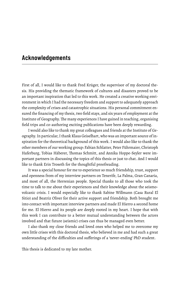### **Acknowledgements**

First of all, I would like to thank Fred Krüger, the supervisor of my doctoral thesis. His providing the thematic framework of cultures and disasters proved to be an important inspiration that led to this work. He created a creative working environment in which I had the necessary freedom and support to adequately approach the complexity of crises and catastrophic situations. His personal commitment ensured the financing of my thesis, two field stays, and six years of employment at the Institute of Geography.The many experiences I have gained in teaching, organising field trips and co-authoring exciting publications have been deeply rewarding.

I would also like to thank my great colleagues and friends at the Institute of Geography. In particular, I thank Klaus Geiselhart, who was an important source of inspiration for the theoretical background of this work. I would also like to thank the other members of our working group: Fabian Schlatter, Peter Führmaier, Christoph Haferburg, Tobias Häberer, Thomas Schmitt, and Annika Hoppe-Seyler were important partners in discussing the topics of this thesis or just to chat. And I would like to thank Erin Troseth for the thoughtful proofreading.

It was a special honour for me to experience so much friendship, trust, support and openness from of my interview partners on Tenerife, La Palma, Gran Canaria, and most of all, the Herrenian people. Special thanks to all those who took the time to talk to me about their experiences and their knowledge about the seismovolcanic crisis. I would especially like to thank Sabine Willmann (Casa Rural El Sitio) and Beatriz Oliver for their active support and friendship. Both brought me into contact with important interview partners and made El Hierro a second home for me. El Hierro and its people are deeply rooted in my heart. I hope that with this work I can contribute to a better mutual understanding between the actors involved and that future (seismic) crises can thus be managed even better.

I also thank my close friends and loved ones who helped me to overcome my own little crises with this doctoral thesis, who believed in me and had such a great understanding of the difficulties and sufferings of a 'never-ending' PhD student.

This thesis is dedicated to my late mother.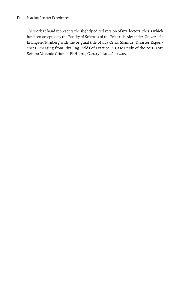The work at hand represents the slightly edited version of my doctoral thesis which has been accepted by the Faculty of Sciences of the Friedrich-Alexander-Universität Erlangen-Nürnberg with the original title of "'La Crisis Sísmica': Disaster Experiences Emerging from Rivalling Fields of Practice. A Case Study of the 2011–2012 Seismo-Volcanic Crisis of El Hierro, Canary Islands" in 2019.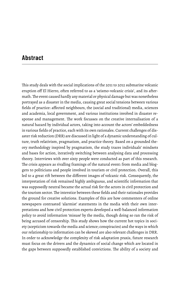## **Abstract**

This study deals with the social implications of the 2011 to 2012 submarine volcanic eruption off El Hierro, often referred to as a 'seismo-volcanic crisis', and its aftermath.The event caused hardly any material or physical damage but was nonetheless portrayed as a disaster in the media, causing great social tensions between various fields of practice: affected neighbours, the (social and traditional) media, sciences and academia, local government, and various institutions involved in disaster response and management. The work focusses on the creative internalisation of a natural hazard by individual actors, taking into account the actors' embeddedness in various fields of practice, each with its own rationales. Current challenges of disaster risk reduction (DRR) are discussed in light of a dynamic understanding of culture, truth relativism, pragmatism, and practice theory. Based on a grounded theory methodology inspired by pragmatism, the study traces individuals' mindsets and bases for action, iteratively switching between analysing data and processing theory. Interviews with over sixty people were conducted as part of this research. The crisis appears as rivalling framings of the natural event: from media and bloggers to politicians and people involved in tourism or civil protection. Overall, this led to a great rift between the different images of volcanic risk. Consequently, the interpretation of risk remained highly ambiguous, and scientific information that was supposedly neutral became the actual risk for the actors in civil protection and the tourism sector. The interstice between these fields and their rationales provides the ground for creative solutions. Examples of this are how commenters of online newspapers contrasted 'alarmist' statements in the media with their own interpretations and how civil protection experts developed a well-balanced information policy to avoid information 'misuse' by the media, though doing so ran the risk of being accused of censorship. This study shows how the current hot topics in society (scepticism towards the media and science; conspiracies) and the ways in which our relationship to information can be skewed are also relevant challenges in DRR. In order to acknowledge the complexity of risk adaptation praxis, future research must focus on the drivers and the dynamics of social change which are located in the gaps between supposedly established convictions. The ability of a society and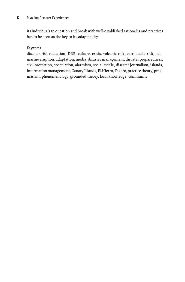its individuals to question and break with well-established rationales and practices has to be seen as the key to its adaptability.

#### Keywords

disaster risk reduction, DRR, culture, crisis, volcanic risk, earthquake risk, submarine eruption, adaptation, media, disaster management, disaster preparedness, civil protection, speculation, alarmism, social media, disaster journalism, islands, information management, Canary Islands, El Hierro, Tagoro, practice theory, pragmatism, phenomenology, grounded theory, local knowledge, community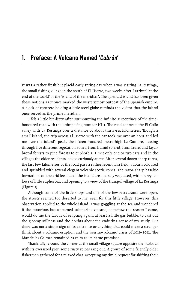### **1. Preface: A Volcano Named '***Cabrón***'**

It was a rather fresh but placid early spring day when I was visiting La Restinga, the small fishing village in the south of El Hierro, two weeks after I arrived 'at the end of the world' or the 'island of the meridian'. The splendid island has been given these notions as it once marked the westernmost outpost of the Spanish empire. A block of concrete holding a little steel globe reminds the visitor that the island once served as the prime meridian.

I felt a little bit dizzy after surmounting the infinite serpentines of the timehonoured road with the unimposing number HI-1. The road connects the El Golfo valley with La Restinga over a distance of about thirty-six kilometres. Though a small island, the trip across El Hierro with the car took me over an hour and led me over the island's peak, the fifteen-hundred-metre-high La Cumbre, passing through five different vegetation zones, from humid to arid, from laurel and fayalbrezal forests to pine forests to euphorbia. I met only one or two cars and in the villages the older residents looked curiously at me. After several dozen sharp turns, the last few kilometres of the road pass a rather recent lava field, auburn coloured and sprinkled with several elegant volcanic scoria cones. The razor-sharp basaltic formations on the arid lee side of the island are sparsely vegetated, with merry fellows of little euphorbia, and opening to a view of the tranquil village of La Restinga (Figure 1).

Although some of the little shops and one of the few restaurants were open, the streets seemed too deserted to me, even for this little village. However, this observation applied to the whole island. I was goggling at the sea and wondered if the notorious but unnamed submarine volcano, somehow the reason I came, would do me the favour of erupting again, at least a little gas bubble, to cast out the gloomy stillness and the doubts about the enduring sense of my study. But there was not a single sign of its existence or anything that could make a stranger think about a volcanic eruption and the 'seismo-volcanic' crisis of 2011–2012. The Mar de las Calmas remained as calm as its name promised.

Thankfully, around the corner at the small village square opposite the harbour with its oversized pier, some rusty voices rang out. A group of some friendly older fishermen gathered for a relaxed chat, accepting my timid request for shifting their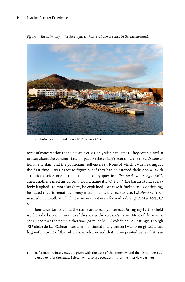

*Figure 1: The calm bay of La Restinga, with several scoria cones in the background.*

Source: Photo by author, taken on 20 February 2013.

topic of conversation to the 'seismic crisis' only with a murmur. They complained in unison about the volcano's fatal impact on the village's economy, the media's sensationalistic slant and the politicians' self-interest. None of which I was hearing for the first time. I was eager to figure out if they had christened their 'doom'. With a cautious voice, one of them replied to my question: "*Volcán de la Restinga, no?!*". Then another raised his voice: "I would name it *El Cabrón!*" (the bastard) and everybody laughed. To more laughter, he explained "Because it fucked us." Continuing, he stated that "it remained ninety meters below the sea surface. […] *Hombre!* It remained in a depth at which it is no use, not even for scuba diving" (2 Mar 2013, ID  $83)^1$ .

Their uncertainty about the name aroused my interest. During my further field work I asked my interviewees if they knew the volcano's name. Most of them were convinced that the name either was (or must be) 'El Volcán de La Restinga', though 'El Volcán de Las Calmas' was also mentioned many times: I was even gifted a jute bag with a print of the submarine volcano and that name printed beneath it (see

References to interviews are given with the date of the interview and the ID number I assigned to it for the study. Below, I will also use pseudonyms for the interview partners.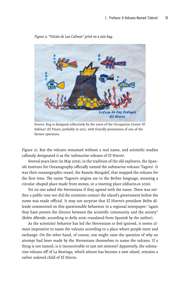

*Figure 2: "Volcán de Las Calmas" print on a jute bag.*

Source: Bag is designed collectively by the users of the Occupation Centre 'El Sabinar' (El Pinar); probably in 2012, with friendly permission of one of the former operators.

Figure 2). But the volcano remained without a real name, and scientific studies callously designated it as the 'submarine volcano of El Hierro'.

Several years later (in May 2016), in the tradition of the old explorers, the Spanish Institute for Oceanography officially named the submarine volcano 'Tagoro'. It was their oceanographic vessel, the Ramón Margalef, that mapped the volcano for the first time. The name 'Tagoro's origins are in the Berber language, meaning a circular-shaped place made from stones, or a meeting place (eldiario.es 2016).

Yet no one asked the Herrenians if they agreed with the name. There was neither a public vote nor did the scientists contact the island's government before the name was made official. It may not surprise that El Hierro's president Belén Allende commented on this questionable behaviour in a regional newspaper: "again they have proven the divorce between the scientific community and the society" (Belén Allende, according to Ávila 2016; translated from Spanish by the author).

As the scientists' behavior has led the Herrenians to feel ignored, it seems almost imperative to name the volcano according to a place where people meet and exchange. On the other hand, of course, one might raise the question of why no attempt had been made by the Herrenians themselves to name the volcano. If a thing is not named, is it inconceivable or just not existent? Apparently, the submarine volcano off of La Restinga, which almost has become a new island, remains a rather unloved child of El Hierro.